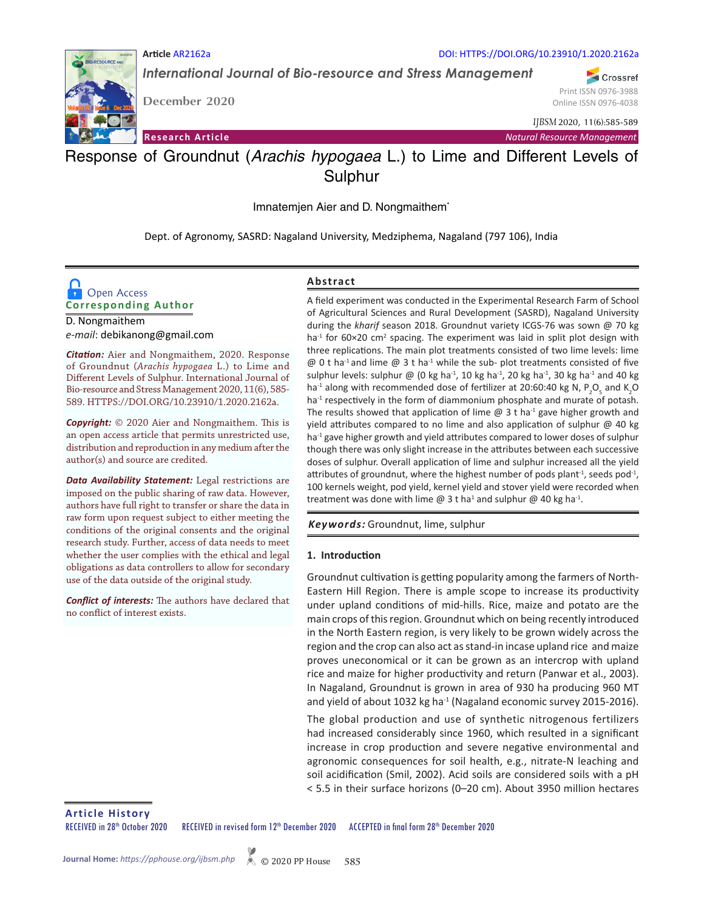

*International Journal of Bio-resource and Stress Management*

**December 2020**

**Article** AR2162a

DOI: HTTPS://DOI.ORG/10.23910/1.2020.2162a

Crossref Print ISSN 0976-3988 Online ISSN 0976-4038

*IJBSM* 2020, 11(6):585-589

**Research Article** *Natural Resource Management*

# Response of Groundnut (*Arachis hypogaea* L.) to Lime and Different Levels of Sulphur

Imnatemjen Aier and D. Nongmaithem\*

Dept. of Agronomy, SASRD: Nagaland University, Medziphema, Nagaland (797 106), India

# **Corresponding Author Open Access**

D. Nongmaithem *e-mail*: debikanong@gmail.com

*Citation:* Aier and Nongmaithem, 2020. Response of Groundnut (*Arachis hypogaea* L.) to Lime and Different Levels of Sulphur. International Journal of Bio-resource and Stress Management 2020, 11(6), 585- 589. HTTPS://DOI.ORG/10.23910/1.2020.2162a.

*Copyright:* © 2020 Aier and Nongmaithem. This is an open access article that permits unrestricted use, distribution and reproduction in any medium after the author(s) and source are credited.

*Data Availability Statement:* Legal restrictions are imposed on the public sharing of raw data. However, authors have full right to transfer or share the data in raw form upon request subject to either meeting the conditions of the original consents and the original research study. Further, access of data needs to meet whether the user complies with the ethical and legal obligations as data controllers to allow for secondary use of the data outside of the original study.

*Conflict of interests:* The authors have declared that no conflict of interest exists.

### **Abstract**

A field experiment was conducted in the Experimental Research Farm of School of Agricultural Sciences and Rural Development (SASRD), Nagaland University during the *kharif* season 2018. Groundnut variety ICGS-76 was sown @ 70 kg ha<sup>-1</sup> for 60×20 cm<sup>2</sup> spacing. The experiment was laid in split plot design with three replications. The main plot treatments consisted of two lime levels: lime  $\omega$  0 t ha<sup>-1</sup> and lime  $\omega$  3 t ha<sup>-1</sup> while the sub- plot treatments consisted of five sulphur levels: sulphur @ (0 kg ha<sup>-1</sup>, 10 kg ha<sup>-1</sup>, 20 kg ha<sup>-1</sup>, 30 kg ha<sup>-1</sup> and 40 kg ha<sup>-1</sup> along with recommended dose of fertilizer at 20:60:40 kg N, P<sub>2</sub>O<sub>5</sub> and K<sub>2</sub>O ha<sup>-1</sup> respectively in the form of diammonium phosphate and murate of potash. The results showed that application of lime  $\omega$  3 t ha<sup>-1</sup> gave higher growth and yield attributes compared to no lime and also application of sulphur @ 40 kg ha<sup>-1</sup> gave higher growth and yield attributes compared to lower doses of sulphur though there was only slight increase in the attributes between each successive doses of sulphur. Overall application of lime and sulphur increased all the yield attributes of groundnut, where the highest number of pods plant<sup>-1</sup>, seeds pod<sup>-1</sup>, 100 kernels weight, pod yield, kernel yield and stover yield were recorded when treatment was done with lime @ 3 t ha<sup>1</sup> and sulphur @ 40 kg ha<sup>-1</sup>.

*Keywords:* Groundnut, lime, sulphur

#### **1. Introduction**

Groundnut cultivation is getting popularity among the farmers of North-Eastern Hill Region. There is ample scope to increase its productivity under upland conditions of mid-hills. Rice, maize and potato are the main crops of this region. Groundnut which on being recently introduced in the North Eastern region, is very likely to be grown widely across the region and the crop can also act as stand-in incase upland rice and maize proves uneconomical or it can be grown as an intercrop with upland rice and maize for higher productivity and return (Panwar et al., 2003). In Nagaland, Groundnut is grown in area of 930 ha producing 960 MT and yield of about 1032 kg ha $^{-1}$  (Nagaland economic survey 2015-2016).

The global production and use of synthetic nitrogenous fertilizers had increased considerably since 1960, which resulted in a significant increase in crop production and severe negative environmental and agronomic consequences for soil health, e.g., nitrate-N leaching and soil acidification (Smil, 2002). Acid soils are considered soils with a pH < 5.5 in their surface horizons (0–20 cm). About 3950 million hectares

**Article History**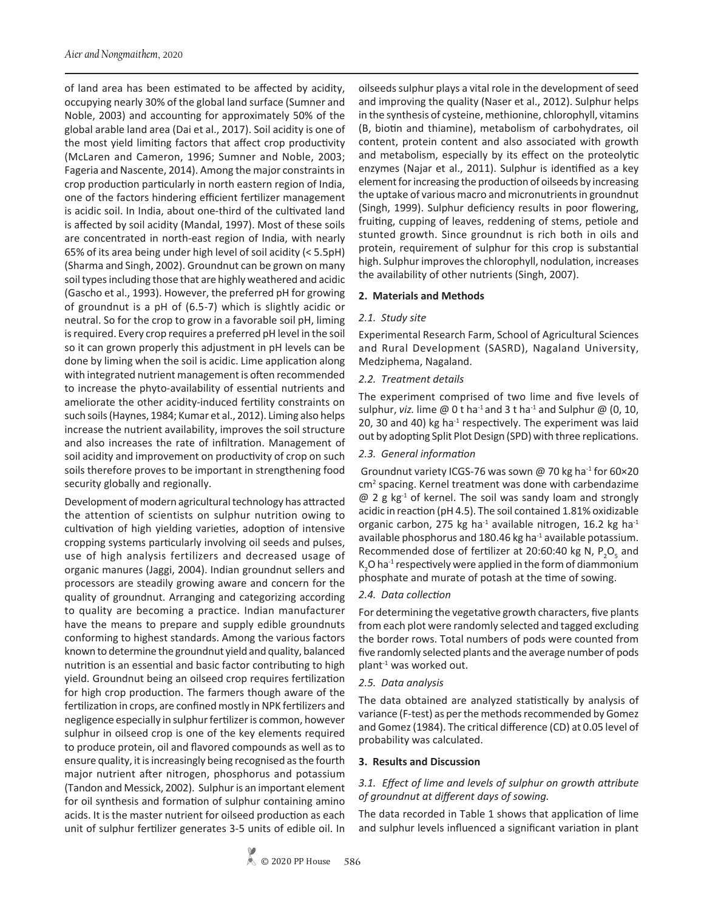of land area has been estimated to be affected by acidity, occupying nearly 30% of the global land surface (Sumner and Noble, 2003) and accounting for approximately 50% of the global arable land area (Dai et al., 2017). Soil acidity is one of the most yield limiting factors that affect crop productivity (McLaren and Cameron, 1996; Sumner and Noble, 2003; Fageria and Nascente, 2014). Among the major constraints in crop production particularly in north eastern region of India, one of the factors hindering efficient fertilizer management is acidic soil. In India, about one-third of the cultivated land is affected by soil acidity (Mandal, 1997). Most of these soils are concentrated in north-east region of India, with nearly 65% of its area being under high level of soil acidity (< 5.5pH) (Sharma and Singh, 2002). Groundnut can be grown on many soil types including those that are highly weathered and acidic (Gascho et al., 1993). However, the preferred pH for growing of groundnut is a pH of (6.5-7) which is slightly acidic or neutral. So for the crop to grow in a favorable soil pH, liming is required. Every crop requires a preferred pH level in the soil so it can grown properly this adjustment in pH levels can be done by liming when the soil is acidic. Lime application along with integrated nutrient management is often recommended to increase the phyto-availability of essential nutrients and ameliorate the other acidity-induced fertility constraints on such soils (Haynes, 1984; Kumar et al., 2012). Liming also helps increase the nutrient availability, improves the soil structure and also increases the rate of infiltration. Management of soil acidity and improvement on productivity of crop on such soils therefore proves to be important in strengthening food security globally and regionally.

Development of modern agricultural technology has attracted the attention of scientists on sulphur nutrition owing to cultivation of high yielding varieties, adoption of intensive cropping systems particularly involving oil seeds and pulses, use of high analysis fertilizers and decreased usage of organic manures (Jaggi, 2004). Indian groundnut sellers and processors are steadily growing aware and concern for the quality of groundnut. Arranging and categorizing according to quality are becoming a practice. Indian manufacturer have the means to prepare and supply edible groundnuts conforming to highest standards. Among the various factors known to determine the groundnut yield and quality, balanced nutrition is an essential and basic factor contributing to high yield. Groundnut being an oilseed crop requires fertilization for high crop production. The farmers though aware of the fertilization in crops, are confined mostly in NPK fertilizers and negligence especially in sulphur fertilizer is common, however sulphur in oilseed crop is one of the key elements required to produce protein, oil and flavored compounds as well as to ensure quality, it is increasingly being recognised as the fourth major nutrient after nitrogen, phosphorus and potassium (Tandon and Messick, 2002). Sulphur is an important element for oil synthesis and formation of sulphur containing amino acids. It is the master nutrient for oilseed production as each unit of sulphur fertilizer generates 3-5 units of edible oil. In

oilseeds sulphur plays a vital role in the development of seed and improving the quality (Naser et al., 2012). Sulphur helps in the synthesis of cysteine, methionine, chlorophyll, vitamins (B, biotin and thiamine), metabolism of carbohydrates, oil content, protein content and also associated with growth and metabolism, especially by its effect on the proteolytic enzymes (Najar et al., 2011). Sulphur is identified as a key element for increasing the production of oilseeds by increasing the uptake of various macro and micronutrients in groundnut (Singh, 1999). Sulphur deficiency results in poor flowering, fruiting, cupping of leaves, reddening of stems, petiole and stunted growth. Since groundnut is rich both in oils and protein, requirement of sulphur for this crop is substantial high. Sulphur improves the chlorophyll, nodulation, increases the availability of other nutrients (Singh, 2007).

### **2. Materials and Methods**

### *2.1. Study site*

Experimental Research Farm, School of Agricultural Sciences and Rural Development (SASRD), Nagaland University, Medziphema, Nagaland.

### *2.2. Treatment details*

The experiment comprised of two lime and five levels of sulphur, *viz.* lime  $\omega$  0 t ha<sup>-1</sup> and 3 t ha<sup>-1</sup> and Sulphur  $\omega$  (0, 10, 20, 30 and 40) kg ha $^{-1}$  respectively. The experiment was laid out by adopting Split Plot Design (SPD) with three replications.

## *2.3. General information*

Groundnut variety ICGS-76 was sown @ 70 kg ha<sup>-1</sup> for 60×20 cm<sup>2</sup> spacing. Kernel treatment was done with carbendazime  $\omega$  2 g kg<sup>-1</sup> of kernel. The soil was sandy loam and strongly acidic in reaction (pH 4.5). The soil contained 1.81% oxidizable organic carbon, 275 kg ha $^{-1}$  available nitrogen, 16.2 kg ha $^{-1}$ available phosphorus and 180.46 kg ha<sup>-1</sup> available potassium. Recommended dose of fertilizer at 20:60:40 kg N,  $P_2O_5$  and  $\mathsf{K}_2$ O ha $^{\text{-1}}$  respectively were applied in the form of diammonium phosphate and murate of potash at the time of sowing.

## *2.4. Data collection*

For determining the vegetative growth characters, five plants from each plot were randomly selected and tagged excluding the border rows. Total numbers of pods were counted from five randomly selected plants and the average number of pods plant-1 was worked out.

## *2.5. Data analysis*

The data obtained are analyzed statistically by analysis of variance (F-test) as per the methods recommended by Gomez and Gomez (1984). The critical difference (CD) at 0.05 level of probability was calculated.

#### **3. Results and Discussion**

## *3.1.**Effect of lime and levels of sulphur on growth attribute of groundnut at different days of sowing.*

The data recorded in Table 1 shows that application of lime and sulphur levels influenced a significant variation in plant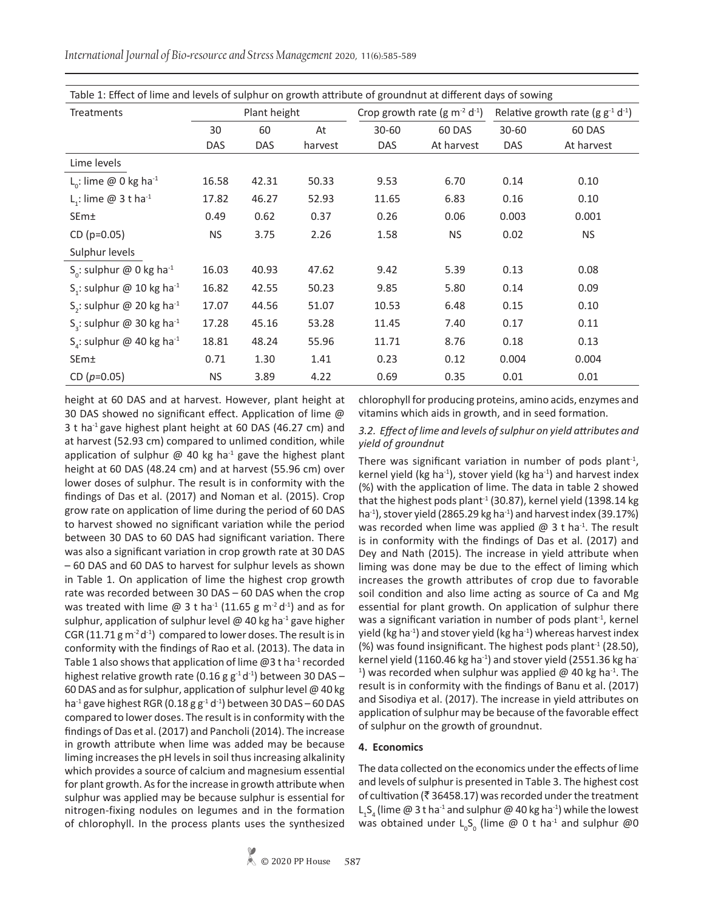*International Journal of Bio-resource and Stress Management* 2020, 11(6):585-589

| Table 1: Effect of lime and levels of sulphur on growth attribute of groundnut at different days of sowing |              |            |         |                                |            |                                                    |            |  |  |
|------------------------------------------------------------------------------------------------------------|--------------|------------|---------|--------------------------------|------------|----------------------------------------------------|------------|--|--|
| <b>Treatments</b>                                                                                          | Plant height |            |         | Crop growth rate $(g m-2 d-1)$ |            | Relative growth rate (g $g^{-1}$ d <sup>-1</sup> ) |            |  |  |
|                                                                                                            | 30           | 60         | At      | $30 - 60$                      | 60 DAS     | $30 - 60$                                          | 60 DAS     |  |  |
|                                                                                                            | <b>DAS</b>   | <b>DAS</b> | harvest | <b>DAS</b>                     | At harvest | <b>DAS</b>                                         | At harvest |  |  |
| Lime levels                                                                                                |              |            |         |                                |            |                                                    |            |  |  |
| L <sub>o</sub> : lime @ 0 kg ha <sup>-1</sup>                                                              | 16.58        | 42.31      | 50.33   | 9.53                           | 6.70       | 0.14                                               | 0.10       |  |  |
| L <sub>1</sub> : lime @ 3 t ha <sup>-1</sup>                                                               | 17.82        | 46.27      | 52.93   | 11.65                          | 6.83       | 0.16                                               | 0.10       |  |  |
| SEm±                                                                                                       | 0.49         | 0.62       | 0.37    | 0.26                           | 0.06       | 0.003                                              | 0.001      |  |  |
| $CD (p=0.05)$                                                                                              | <b>NS</b>    | 3.75       | 2.26    | 1.58                           | <b>NS</b>  | 0.02                                               | <b>NS</b>  |  |  |
| Sulphur levels                                                                                             |              |            |         |                                |            |                                                    |            |  |  |
| S <sub>o</sub> : sulphur @ 0 kg ha <sup>-1</sup>                                                           | 16.03        | 40.93      | 47.62   | 9.42                           | 5.39       | 0.13                                               | 0.08       |  |  |
| S <sub>1</sub> : sulphur @ 10 kg ha <sup>-1</sup>                                                          | 16.82        | 42.55      | 50.23   | 9.85                           | 5.80       | 0.14                                               | 0.09       |  |  |
| S <sub>2</sub> : sulphur @ 20 kg ha <sup>-1</sup>                                                          | 17.07        | 44.56      | 51.07   | 10.53                          | 6.48       | 0.15                                               | 0.10       |  |  |
| S <sub>2</sub> : sulphur @ 30 kg ha <sup>-1</sup>                                                          | 17.28        | 45.16      | 53.28   | 11.45                          | 7.40       | 0.17                                               | 0.11       |  |  |
| $S_4$ : sulphur @ 40 kg ha <sup>-1</sup>                                                                   | 18.81        | 48.24      | 55.96   | 11.71                          | 8.76       | 0.18                                               | 0.13       |  |  |
| SEm±                                                                                                       | 0.71         | 1.30       | 1.41    | 0.23                           | 0.12       | 0.004                                              | 0.004      |  |  |
| CD $(p=0.05)$                                                                                              | NS.          | 3.89       | 4.22    | 0.69                           | 0.35       | 0.01                                               | 0.01       |  |  |

height at 60 DAS and at harvest. However, plant height at 30 DAS showed no significant effect. Application of lime @ 3 t ha<sup>-1</sup> gave highest plant height at 60 DAS (46.27 cm) and at harvest (52.93 cm) compared to unlimed condition, while application of sulphur  $@$  40 kg ha<sup>-1</sup> gave the highest plant height at 60 DAS (48.24 cm) and at harvest (55.96 cm) over lower doses of sulphur. The result is in conformity with the findings of Das et al. (2017) and Noman et al. (2015). Crop grow rate on application of lime during the period of 60 DAS to harvest showed no significant variation while the period between 30 DAS to 60 DAS had significant variation. There was also a significant variation in crop growth rate at 30 DAS – 60 DAS and 60 DAS to harvest for sulphur levels as shown in Table 1. On application of lime the highest crop growth rate was recorded between 30 DAS – 60 DAS when the crop was treated with lime  $\omega$  3 t ha<sup>-1</sup> (11.65 g m<sup>-2</sup> d<sup>-1</sup>) and as for sulphur, application of sulphur level  $@$  40 kg ha<sup>-1</sup> gave higher CGR (11.71 g  $m<sup>2</sup>d<sup>-1</sup>$ ) compared to lower doses. The result is in conformity with the findings of Rao et al. (2013). The data in Table 1 also shows that application of lime  $@3$  t ha<sup>-1</sup> recorded highest relative growth rate (0.16 g  $g^{-1} d^{-1}$ ) between 30 DAS -60 DAS and as for sulphur, application of sulphur level @ 40 kg ha $^{-1}$  gave highest RGR (0.18 g  $g^{-1}$  d<sup>-1</sup>) between 30 DAS – 60 DAS compared to lower doses. The result is in conformity with the findings of Das et al. (2017) and Pancholi (2014). The increase in growth attribute when lime was added may be because liming increases the pH levels in soil thus increasing alkalinity which provides a source of calcium and magnesium essential for plant growth. As for the increase in growth attribute when sulphur was applied may be because sulphur is essential for nitrogen-fixing nodules on legumes and in the formation of chlorophyll. In the process plants uses the synthesized

chlorophyll for producing proteins, amino acids, enzymes and vitamins which aids in growth, and in seed formation.

### *3.2. Effect of lime and levels of sulphur on yield attributes and yield of groundnut*

There was significant variation in number of pods plant $-1$ , kernel yield (kg ha<sup>-1</sup>), stover yield (kg ha<sup>-1</sup>) and harvest index (%) with the application of lime. The data in table 2 showed that the highest pods plant<sup>-1</sup> (30.87), kernel yield (1398.14 kg) ha $^{-1}$ ), stover yield (2865.29 kg ha $^{-1}$ ) and harvest index (39.17%) was recorded when lime was applied  $\omega$  3 t ha<sup>-1</sup>. The result is in conformity with the findings of Das et al. (2017) and Dey and Nath (2015). The increase in yield attribute when liming was done may be due to the effect of liming which increases the growth attributes of crop due to favorable soil condition and also lime acting as source of Ca and Mg essential for plant growth. On application of sulphur there was a significant variation in number of pods plant<sup>-1</sup>, kernel yield (kg ha<sup>-1</sup>) and stover yield (kg ha<sup>-1</sup>) whereas harvest index (%) was found insignificant. The highest pods plant<sup>-1</sup> (28.50), kernel yield (1160.46 kg ha $^{-1}$ ) and stover yield (2551.36 kg ha-<sup>1</sup>) was recorded when sulphur was applied  $\omega$  40 kg ha<sup>-1</sup>. The result is in conformity with the findings of Banu et al. (2017) and Sisodiya et al. (2017). The increase in yield attributes on application of sulphur may be because of the favorable effect of sulphur on the growth of groundnut.

## **4. Economics**

The data collected on the economics under the effects of lime and levels of sulphur is presented in Table 3. The highest cost of cultivation ( $\bar{z}$  36458.17) was recorded under the treatment  ${\sf L}_1{\sf S}_4$  (lime @ 3 t ha<sup>-1</sup> and sulphur @ 40 kg ha<sup>-1</sup>) while the lowest was obtained under  $L_0S_0$  (lime @ 0 t ha<sup>-1</sup> and sulphur @0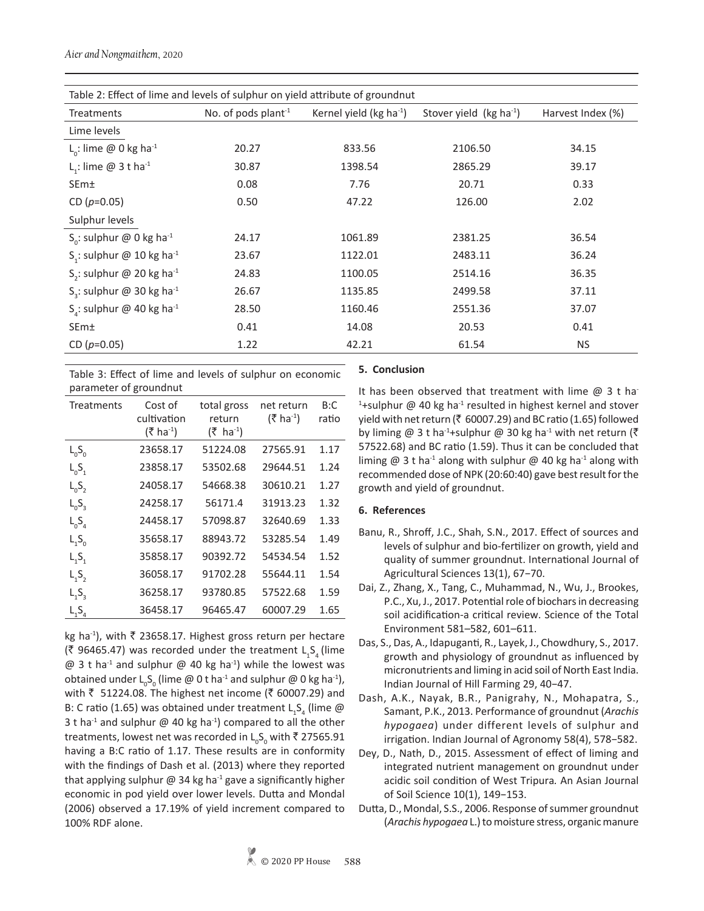| Table 2: Effect of lime and levels of sulphur on yield attribute of groundnut |                                 |                                        |                          |                   |  |  |  |
|-------------------------------------------------------------------------------|---------------------------------|----------------------------------------|--------------------------|-------------------|--|--|--|
| Treatments                                                                    | No. of pods plant <sup>-1</sup> | Kernel yield ( $kg$ ha <sup>-1</sup> ) | Stover yield $(kg ha-1)$ | Harvest Index (%) |  |  |  |
| Lime levels                                                                   |                                 |                                        |                          |                   |  |  |  |
| L <sub>o</sub> : lime @ 0 kg ha <sup>-1</sup>                                 | 20.27                           | 833.56                                 | 2106.50                  | 34.15             |  |  |  |
| L <sub>1</sub> : lime $@$ 3 t ha <sup>-1</sup>                                | 30.87                           | 1398.54                                | 2865.29                  | 39.17             |  |  |  |
| SEm±                                                                          | 0.08                            | 7.76                                   | 20.71                    | 0.33              |  |  |  |
| CD $(p=0.05)$                                                                 | 0.50                            | 47.22                                  | 126.00                   | 2.02              |  |  |  |
| Sulphur levels                                                                |                                 |                                        |                          |                   |  |  |  |
| S <sub>o</sub> : sulphur @ 0 kg ha <sup>-1</sup>                              | 24.17                           | 1061.89                                | 2381.25                  | 36.54             |  |  |  |
| S <sub>1</sub> : sulphur @ 10 kg ha <sup>-1</sup>                             | 23.67                           | 1122.01                                | 2483.11                  | 36.24             |  |  |  |
| S <sub>2</sub> : sulphur @ 20 kg ha <sup>-1</sup>                             | 24.83                           | 1100.05                                | 2514.16                  | 36.35             |  |  |  |
| S <sub>3</sub> : sulphur @ 30 kg ha <sup>-1</sup>                             | 26.67                           | 1135.85                                | 2499.58                  | 37.11             |  |  |  |
| S <sub>4</sub> : sulphur @ 40 kg ha <sup>-1</sup>                             | 28.50                           | 1160.46                                | 2551.36                  | 37.07             |  |  |  |
| SEm±                                                                          | 0.41                            | 14.08                                  | 20.53                    | 0.41              |  |  |  |
| CD $(p=0.05)$                                                                 | 1.22                            | 42.21                                  | 61.54                    | <b>NS</b>         |  |  |  |

Table 3: Effect of lime and levels of sulphur on economic parameter of groundnut

| <b>Treatments</b> | Cost of<br>cultivation<br>$(3 \hbox{ ha}^{-1})$ | total gross<br>return<br>$(5 \text{ ha}^{-1})$ | net return<br>$(\bar{\mathcal{F}}$ ha <sup>-1</sup> ) | B:C<br>ratio |
|-------------------|-------------------------------------------------|------------------------------------------------|-------------------------------------------------------|--------------|
| $L_0S_0$          | 23658.17                                        | 51224.08                                       | 27565.91                                              | 1.17         |
| $L_0S_1$          | 23858.17                                        | 53502.68                                       | 29644.51                                              | 1.24         |
| $L_0S_2$          | 24058.17                                        | 54668.38                                       | 30610.21                                              | 1.27         |
| $L_0S_3$          | 24258.17                                        | 56171.4                                        | 31913.23                                              | 1.32         |
| $L_{0}S_{A}$      | 24458.17                                        | 57098.87                                       | 32640.69                                              | 1.33         |
| $L_1S_0$          | 35658.17                                        | 88943.72                                       | 53285.54                                              | 1.49         |
| $L_1S_1$          | 35858.17                                        | 90392.72                                       | 54534.54                                              | 1.52         |
| $L_1S_2$          | 36058.17                                        | 91702.28                                       | 55644.11                                              | 1.54         |
| $L_1S_2$          | 36258.17                                        | 93780.85                                       | 57522.68                                              | 1.59         |
| $L_1S_4$          | 36458.17                                        | 96465.47                                       | 60007.29                                              | 1.65         |

kg ha<sup>-1</sup>), with  $\bar{\tau}$  23658.17. Highest gross return per hectare (₹ 96465.47) was recorded under the treatment  $L_1S_4$  (lime  $\omega$  3 t ha<sup>-1</sup> and sulphur  $\omega$  40 kg ha<sup>-1</sup>) while the lowest was obtained under  $\mathsf{L}_{_0}\mathsf{S}_{_0}$  (lime @ 0 t ha<sup>-1</sup> and sulphur @ 0 kg ha<sup>-1</sup>), with ₹ 51224.08. The highest net income (₹ 60007.29) and B: C ratio (1.65) was obtained under treatment  $L_1S_4$  (lime  $\omega$ 3 t ha<sup>-1</sup> and sulphur  $\omega$  40 kg ha<sup>-1</sup>) compared to all the other treatments, lowest net was recorded in  $\mathsf{L}_\mathrm{o} \mathsf{S}_\mathrm{o}$  with  $\bar{\mathsf{c}}$  27565.91 having a B:C ratio of 1.17. These results are in conformity with the findings of Dash et al. (2013) where they reported that applying sulphur  $\omega$  34 kg ha<sup>-1</sup> gave a significantly higher economic in pod yield over lower levels. Dutta and Mondal (2006) observed a 17.19% of yield increment compared to 100% RDF alone.

## **5. Conclusion**

It has been observed that treatment with lime  $@3$  t hat <sup>1</sup>+sulphur @ 40 kg ha<sup>-1</sup> resulted in highest kernel and stover yield with net return ( $\bar{\tau}$  60007.29) and BC ratio (1.65) followed by liming @ 3 t ha<sup>-1</sup>+sulphur @ 30 kg ha<sup>-1</sup> with net return ( $\bar{z}$ 57522.68) and BC ratio (1.59). Thus it can be concluded that liming  $@$  3 t ha<sup>-1</sup> along with sulphur  $@$  40 kg ha<sup>-1</sup> along with recommended dose of NPK (20:60:40) gave best result for the growth and yield of groundnut.

## **6. References**

- Banu, R., Shroff, J.C., Shah, S.N., 2017. Effect of sources and levels of sulphur and bio-fertilizer on growth, yield and quality of summer groundnut. International Journal of Agricultural Sciences 13(1), 67−70.
- Dai, Z., Zhang, X., Tang, C., Muhammad, N., Wu, J., Brookes, P.C., Xu, J., 2017. Potential role of biochars in decreasing soil acidification-a critical review. Science of the Total Environment 581–582, 601–611.
- Das, S., Das, A., Idapuganti, R., Layek, J., Chowdhury, S., 2017. growth and physiology of groundnut as influenced by micronutrients and liming in acid soil of North East India. Indian Journal of Hill Farming 29, 40−47.
- Dash, A.K., Nayak, B.R., Panigrahy, N., Mohapatra, S., Samant, P.K., 2013. Performance of groundnut (*Arachis hypogaea*) under different levels of sulphur and irrigation. Indian Journal of Agronomy 58(4), 578−582.
- Dey, D., Nath, D., 2015. Assessment of effect of liming and integrated nutrient management on groundnut under acidic soil condition of West Tripura*.* An Asian Journal of Soil Science 10(1), 149−153.
- Dutta, D., Mondal, S.S., 2006. Response of summer groundnut (*Arachis hypogaea* L.) to moisture stress, organic manure